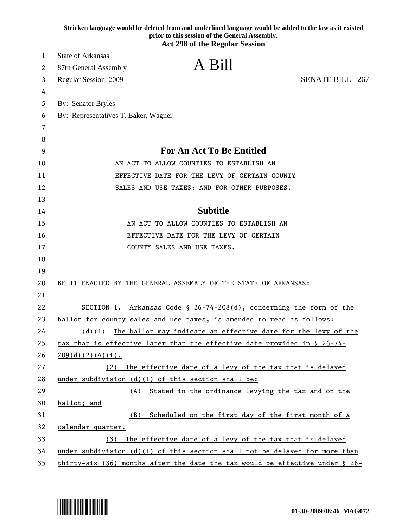|    | Stricken language would be deleted from and underlined language would be added to the law as it existed<br>prior to this session of the General Assembly. |
|----|-----------------------------------------------------------------------------------------------------------------------------------------------------------|
|    | <b>Act 298 of the Regular Session</b>                                                                                                                     |
| 1  | <b>State of Arkansas</b>                                                                                                                                  |
| 2  | A Bill<br>87th General Assembly                                                                                                                           |
| 3  | <b>SENATE BILL 267</b><br>Regular Session, 2009                                                                                                           |
| 4  |                                                                                                                                                           |
| 5  | By: Senator Bryles                                                                                                                                        |
| 6  | By: Representatives T. Baker, Wagner                                                                                                                      |
| 7  |                                                                                                                                                           |
| 8  |                                                                                                                                                           |
| 9  | For An Act To Be Entitled                                                                                                                                 |
| 10 | AN ACT TO ALLOW COUNTIES TO ESTABLISH AN                                                                                                                  |
| 11 | EFFECTIVE DATE FOR THE LEVY OF CERTAIN COUNTY                                                                                                             |
| 12 | SALES AND USE TAXES; AND FOR OTHER PURPOSES.                                                                                                              |
| 13 |                                                                                                                                                           |
| 14 | <b>Subtitle</b>                                                                                                                                           |
| 15 | AN ACT TO ALLOW COUNTIES TO ESTABLISH AN                                                                                                                  |
| 16 | EFFECTIVE DATE FOR THE LEVY OF CERTAIN                                                                                                                    |
| 17 | COUNTY SALES AND USE TAXES.                                                                                                                               |
| 18 |                                                                                                                                                           |
| 19 |                                                                                                                                                           |
| 20 | BE IT ENACTED BY THE GENERAL ASSEMBLY OF THE STATE OF ARKANSAS:                                                                                           |
| 21 |                                                                                                                                                           |
| 22 | SECTION 1. Arkansas Code § 26-74-208(d), concerning the form of the                                                                                       |
| 23 | ballot for county sales and use taxes, is amended to read as follows:                                                                                     |
| 24 | The ballot may indicate an effective date for the levy of the<br>(d)(1)                                                                                   |
| 25 | tax that is effective later than the effective date provided in § 26-74-                                                                                  |
| 26 | $209(d)(2)(A)(i)$ .                                                                                                                                       |
| 27 | The effective date of a levy of the tax that is delayed<br>(2)                                                                                            |
| 28 | under subdivision (d)(l) of this section shall be:                                                                                                        |
| 29 | Stated in the ordinance levying the tax and on the<br>(A)                                                                                                 |
| 30 | ballot; and                                                                                                                                               |
| 31 | Scheduled on the first day of the first month of a<br>(B)                                                                                                 |
| 32 | calendar quarter.                                                                                                                                         |
| 33 | The effective date of a levy of the tax that is delayed<br>(3)                                                                                            |
| 34 | under subdivision $(d)(1)$ of this section shall not be delayed for more than                                                                             |
| 35 | thirty-six (36) months after the date the tax would be effective under $\S$ 26-                                                                           |

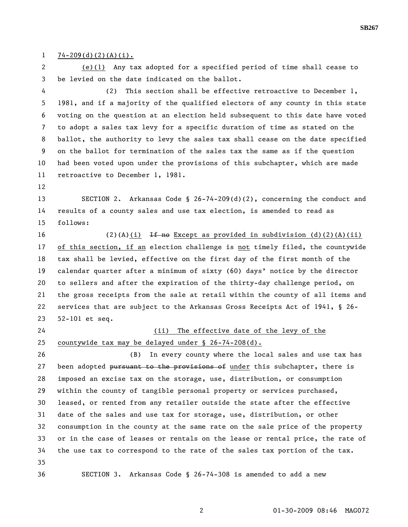## $1 \quad 74 - 209(d)(2)(A)(i)$ .

2 (e)(1) Any tax adopted for a specified period of time shall cease to 3 be levied on the date indicated on the ballot.

4 (2) This section shall be effective retroactive to December 1, 5 1981, and if a majority of the qualified electors of any county in this state 6 voting on the question at an election held subsequent to this date have voted 7 to adopt a sales tax levy for a specific duration of time as stated on the 8 ballot, the authority to levy the sales tax shall cease on the date specified 9 on the ballot for termination of the sales tax the same as if the question 10 had been voted upon under the provisions of this subchapter, which are made 11 retroactive to December 1, 1981.

12

13 SECTION 2. Arkansas Code § 26-74-209(d)(2), concerning the conduct and 14 results of a county sales and use tax election, is amended to read as 15 follows:

16 (2)(A)(i) If no Except as provided in subdivision (d)(2)(A)(ii) 17 of this section, if an election challenge is not timely filed, the countywide 18 tax shall be levied, effective on the first day of the first month of the 19 calendar quarter after a minimum of sixty (60) days' notice by the director 20 to sellers and after the expiration of the thirty-day challenge period, on 21 the gross receipts from the sale at retail within the county of all items and 22 services that are subject to the Arkansas Gross Receipts Act of 1941, § 26- 23 52-101 et seq.

24 (ii) The effective date of the levy of the 25 countywide tax may be delayed under § 26-74-208(d).

26 (B) In every county where the local sales and use tax has 27 been adopted pursuant to the provisions of under this subchapter, there is 28 imposed an excise tax on the storage, use, distribution, or consumption 29 within the county of tangible personal property or services purchased, 30 leased, or rented from any retailer outside the state after the effective 31 date of the sales and use tax for storage, use, distribution, or other 32 consumption in the county at the same rate on the sale price of the property 33 or in the case of leases or rentals on the lease or rental price, the rate of 34 the use tax to correspond to the rate of the sales tax portion of the tax. 35 36 SECTION 3. Arkansas Code § 26-74-308 is amended to add a new

2 01-30-2009 08:46 MAG072